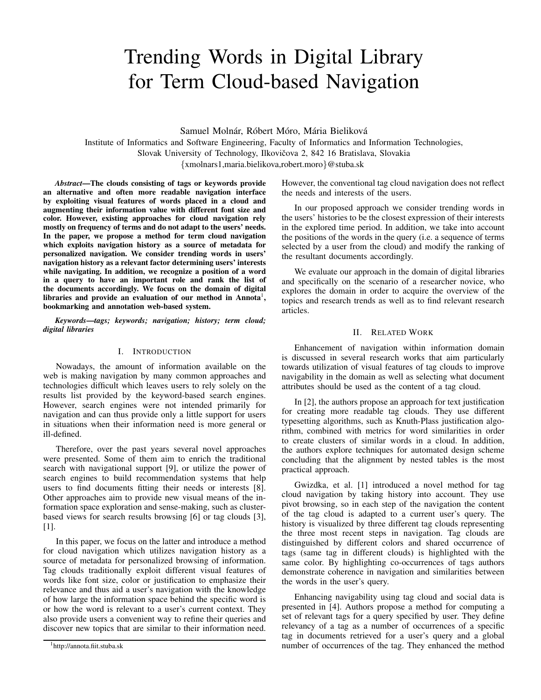# Trending Words in Digital Library for Term Cloud-based Navigation

Samuel Molnár, Róbert Móro, Mária Bieliková

Institute of Informatics and Software Engineering, Faculty of Informatics and Information Technologies, Slovak University of Technology, Ilkovičova 2, 842 16 Bratislava, Slovakia {xmolnars1,maria.bielikova,robert.moro}@stuba.sk

*Abstract*—The clouds consisting of tags or keywords provide an alternative and often more readable navigation interface by exploiting visual features of words placed in a cloud and augmenting their information value with different font size and color. However, existing approaches for cloud navigation rely mostly on frequency of terms and do not adapt to the users' needs. In the paper, we propose a method for term cloud navigation which exploits navigation history as a source of metadata for personalized navigation. We consider trending words in users' navigation history as a relevant factor determining users' interests while navigating. In addition, we recognize a position of a word in a query to have an important role and rank the list of the documents accordingly. We focus on the domain of digital libraries and provide an evaluation of our method in Annota<sup>1</sup>, bookmarking and annotation web-based system.

*Keywords*—*tags; keywords; navigation; history; term cloud; digital libraries*

## I. INTRODUCTION

Nowadays, the amount of information available on the web is making navigation by many common approaches and technologies difficult which leaves users to rely solely on the results list provided by the keyword-based search engines. However, search engines were not intended primarily for navigation and can thus provide only a little support for users in situations when their information need is more general or ill-defined.

Therefore, over the past years several novel approaches were presented. Some of them aim to enrich the traditional search with navigational support [9], or utilize the power of search engines to build recommendation systems that help users to find documents fitting their needs or interests [8]. Other approaches aim to provide new visual means of the information space exploration and sense-making, such as clusterbased views for search results browsing [6] or tag clouds [3], [1].

In this paper, we focus on the latter and introduce a method for cloud navigation which utilizes navigation history as a source of metadata for personalized browsing of information. Tag clouds traditionally exploit different visual features of words like font size, color or justification to emphasize their relevance and thus aid a user's navigation with the knowledge of how large the information space behind the specific word is or how the word is relevant to a user's current context. They also provide users a convenient way to refine their queries and discover new topics that are similar to their information need. However, the conventional tag cloud navigation does not reflect the needs and interests of the users.

In our proposed approach we consider trending words in the users' histories to be the closest expression of their interests in the explored time period. In addition, we take into account the positions of the words in the query (i.e. a sequence of terms selected by a user from the cloud) and modify the ranking of the resultant documents accordingly.

We evaluate our approach in the domain of digital libraries and specifically on the scenario of a researcher novice, who explores the domain in order to acquire the overview of the topics and research trends as well as to find relevant research articles.

## II. RELATED WORK

Enhancement of navigation within information domain is discussed in several research works that aim particularly towards utilization of visual features of tag clouds to improve navigability in the domain as well as selecting what document attributes should be used as the content of a tag cloud.

In [2], the authors propose an approach for text justification for creating more readable tag clouds. They use different typesetting algorithms, such as Knuth-Plass justification algorithm, combined with metrics for word similarities in order to create clusters of similar words in a cloud. In addition, the authors explore techniques for automated design scheme concluding that the alignment by nested tables is the most practical approach.

Gwizdka, et al. [1] introduced a novel method for tag cloud navigation by taking history into account. They use pivot browsing, so in each step of the navigation the content of the tag cloud is adapted to a current user's query. The history is visualized by three different tag clouds representing the three most recent steps in navigation. Tag clouds are distinguished by different colors and shared occurrence of tags (same tag in different clouds) is highlighted with the same color. By highlighting co-occurrences of tags authors demonstrate coherence in navigation and similarities between the words in the user's query.

Enhancing navigability using tag cloud and social data is presented in [4]. Authors propose a method for computing a set of relevant tags for a query specified by user. They define relevancy of a tag as a number of occurrences of a specific tag in documents retrieved for a user's query and a global number of occurrences of the tag. They enhanced the method

<sup>1</sup>http://annota.fiit.stuba.sk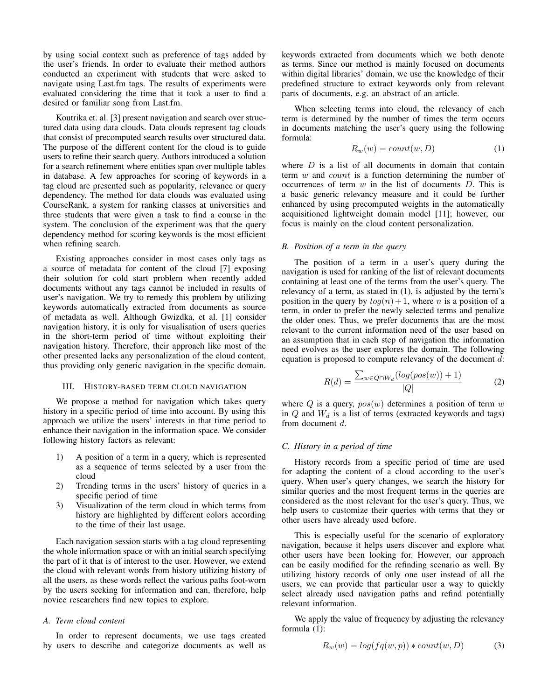by using social context such as preference of tags added by the user's friends. In order to evaluate their method authors conducted an experiment with students that were asked to navigate using Last.fm tags. The results of experiments were evaluated considering the time that it took a user to find a desired or familiar song from Last.fm.

Koutrika et. al. [3] present navigation and search over structured data using data clouds. Data clouds represent tag clouds that consist of precomputed search results over structured data. The purpose of the different content for the cloud is to guide users to refine their search query. Authors introduced a solution for a search refinement where entities span over multiple tables in database. A few approaches for scoring of keywords in a tag cloud are presented such as popularity, relevance or query dependency. The method for data clouds was evaluated using CourseRank, a system for ranking classes at universities and three students that were given a task to find a course in the system. The conclusion of the experiment was that the query dependency method for scoring keywords is the most efficient when refining search.

Existing approaches consider in most cases only tags as a source of metadata for content of the cloud [7] exposing their solution for cold start problem when recently added documents without any tags cannot be included in results of user's navigation. We try to remedy this problem by utilizing keywords automatically extracted from documents as source of metadata as well. Although Gwizdka, et al. [1] consider navigation history, it is only for visualisation of users queries in the short-term period of time without exploiting their navigation history. Therefore, their approach like most of the other presented lacks any personalization of the cloud content, thus providing only generic navigation in the specific domain.

#### III. HISTORY-BASED TERM CLOUD NAVIGATION

We propose a method for navigation which takes query history in a specific period of time into account. By using this approach we utilize the users' interests in that time period to enhance their navigation in the information space. We consider following history factors as relevant:

- 1) A position of a term in a query, which is represented as a sequence of terms selected by a user from the cloud
- 2) Trending terms in the users' history of queries in a specific period of time
- 3) Visualization of the term cloud in which terms from history are highlighted by different colors according to the time of their last usage.

Each navigation session starts with a tag cloud representing the whole information space or with an initial search specifying the part of it that is of interest to the user. However, we extend the cloud with relevant words from history utilizing history of all the users, as these words reflect the various paths foot-worn by the users seeking for information and can, therefore, help novice researchers find new topics to explore.

# *A. Term cloud content*

In order to represent documents, we use tags created by users to describe and categorize documents as well as

keywords extracted from documents which we both denote as terms. Since our method is mainly focused on documents within digital libraries' domain, we use the knowledge of their predefined structure to extract keywords only from relevant parts of documents, e.g. an abstract of an article.

When selecting terms into cloud, the relevancy of each term is determined by the number of times the term occurs in documents matching the user's query using the following formula:

$$
R_w(w) = count(w, D) \tag{1}
$$

where  $D$  is a list of all documents in domain that contain term w and count is a function determining the number of occurrences of term  $w$  in the list of documents  $D$ . This is a basic generic relevancy measure and it could be further enhanced by using precomputed weights in the automatically acquisitioned lightweight domain model [11]; however, our focus is mainly on the cloud content personalization.

#### *B. Position of a term in the query*

The position of a term in a user's query during the navigation is used for ranking of the list of relevant documents containing at least one of the terms from the user's query. The relevancy of a term, as stated in (1), is adjusted by the term's position in the query by  $log(n)+1$ , where *n* is a position of a term, in order to prefer the newly selected terms and penalize the older ones. Thus, we prefer documents that are the most relevant to the current information need of the user based on an assumption that in each step of navigation the information need evolves as the user explores the domain. The following equation is proposed to compute relevancy of the document d:

$$
R(d) = \frac{\sum_{w \in Q \cap W_d} (log(pos(w)) + 1)}{|Q|} \tag{2}
$$

where  $Q$  is a query,  $pos(w)$  determines a position of term  $w$ in  $Q$  and  $W_d$  is a list of terms (extracted keywords and tags) from document d.

#### *C. History in a period of time*

History records from a specific period of time are used for adapting the content of a cloud according to the user's query. When user's query changes, we search the history for similar queries and the most frequent terms in the queries are considered as the most relevant for the user's query. Thus, we help users to customize their queries with terms that they or other users have already used before.

This is especially useful for the scenario of exploratory navigation, because it helps users discover and explore what other users have been looking for. However, our approach can be easily modified for the refinding scenario as well. By utilizing history records of only one user instead of all the users, we can provide that particular user a way to quickly select already used navigation paths and refind potentially relevant information.

We apply the value of frequency by adjusting the relevancy formula (1):

$$
R_w(w) = \log(fq(w, p)) * count(w, D)
$$
 (3)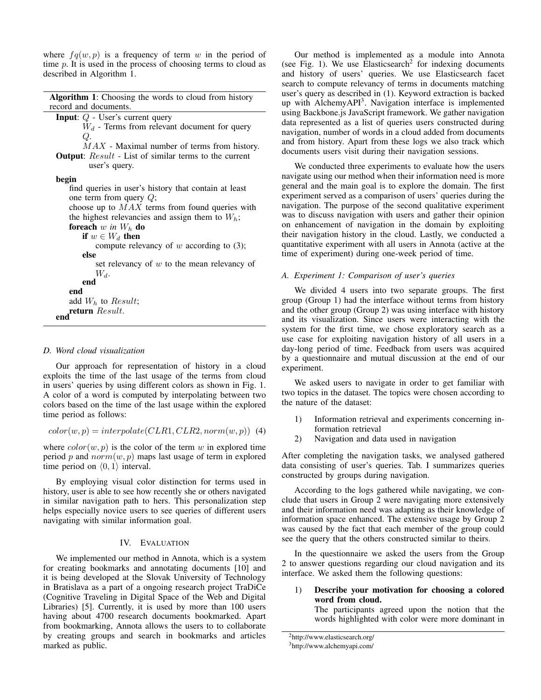where  $fq(w, p)$  is a frequency of term w in the period of time  $p$ . It is used in the process of choosing terms to cloud as described in Algorithm 1.

| <b>Algorithm 1:</b> Choosing the words to cloud from history |
|--------------------------------------------------------------|
| record and documents.                                        |
| <b>Input:</b> $Q$ - User's current query                     |
| $W_d$ - Terms from relevant document for query               |
| Q.                                                           |
| $MAX$ - Maximal number of terms from history.                |
| <b>Output:</b> Result - List of similar terms to the current |
| user's query.                                                |
| begin                                                        |
| find queries in user's history that contain at least         |
| one term from query $Q$ ;                                    |
| choose up to $MAX$ terms from found queries with             |
| the highest relevancies and assign them to $W_h$ ;           |
| foreach w in $W_h$ do                                        |
| if $w \in W_d$ then                                          |
| compute relevancy of $w$ according to (3);                   |
| else                                                         |
| set relevancy of $w$ to the mean relevancy of                |
| $W_d$ .                                                      |
| end                                                          |
| end                                                          |
| add $W_h$ to $Result;$                                       |
| return Result.<br>ena                                        |

# *D. Word cloud visualization*

Our approach for representation of history in a cloud exploits the time of the last usage of the terms from cloud in users' queries by using different colors as shown in Fig. 1. A color of a word is computed by interpolating between two colors based on the time of the last usage within the explored time period as follows:

 $color(w, p) = interpolate(CLR1, CLR2, norm(w, p))$  (4)

where  $color(w, p)$  is the color of the term w in explored time period p and  $norm(w, p)$  maps last usage of term in explored time period on  $(0, 1)$  interval.

By employing visual color distinction for terms used in history, user is able to see how recently she or others navigated in similar navigation path to hers. This personalization step helps especially novice users to see queries of different users navigating with similar information goal.

## IV. EVALUATION

We implemented our method in Annota, which is a system for creating bookmarks and annotating documents [10] and it is being developed at the Slovak University of Technology in Bratislava as a part of a ongoing research project TraDiCe (Cognitive Traveling in Digital Space of the Web and Digital Libraries) [5]. Currently, it is used by more than 100 users having about 4700 research documents bookmarked. Apart from bookmarking, Annota allows the users to to collaborate by creating groups and search in bookmarks and articles marked as public.

Our method is implemented as a module into Annota (see Fig. 1). We use Elasticsearch<sup>2</sup> for indexing documents and history of users' queries. We use Elasticsearch facet search to compute relevancy of terms in documents matching user's query as described in (1). Keyword extraction is backed up with AlchemyAPI<sup>3</sup>. Navigation interface is implemented using Backbone.js JavaScript framework. We gather navigation data represented as a list of queries users constructed during navigation, number of words in a cloud added from documents and from history. Apart from these logs we also track which documents users visit during their navigation sessions.

We conducted three experiments to evaluate how the users navigate using our method when their information need is more general and the main goal is to explore the domain. The first experiment served as a comparison of users' queries during the navigation. The purpose of the second qualitative experiment was to discuss navigation with users and gather their opinion on enhancement of navigation in the domain by exploiting their navigation history in the cloud. Lastly, we conducted a quantitative experiment with all users in Annota (active at the time of experiment) during one-week period of time.

## *A. Experiment 1: Comparison of user's queries*

We divided 4 users into two separate groups. The first group (Group 1) had the interface without terms from history and the other group (Group 2) was using interface with history and its visualization. Since users were interacting with the system for the first time, we chose exploratory search as a use case for exploiting navigation history of all users in a day-long period of time. Feedback from users was acquired by a questionnaire and mutual discussion at the end of our experiment.

We asked users to navigate in order to get familiar with two topics in the dataset. The topics were chosen according to the nature of the dataset:

- 1) Information retrieval and experiments concerning information retrieval
- 2) Navigation and data used in navigation

After completing the navigation tasks, we analysed gathered data consisting of user's queries. Tab. I summarizes queries constructed by groups during navigation.

According to the logs gathered while navigating, we conclude that users in Group 2 were navigating more extensively and their information need was adapting as their knowledge of information space enhanced. The extensive usage by Group 2 was caused by the fact that each member of the group could see the query that the others constructed similar to theirs.

In the questionnaire we asked the users from the Group 2 to answer questions regarding our cloud navigation and its interface. We asked them the following questions:

# 1) Describe your motivation for choosing a colored word from cloud.

The participants agreed upon the notion that the words highlighted with color were more dominant in

<sup>2</sup>http://www.elasticsearch.org/

<sup>3</sup>http://www.alchemyapi.com/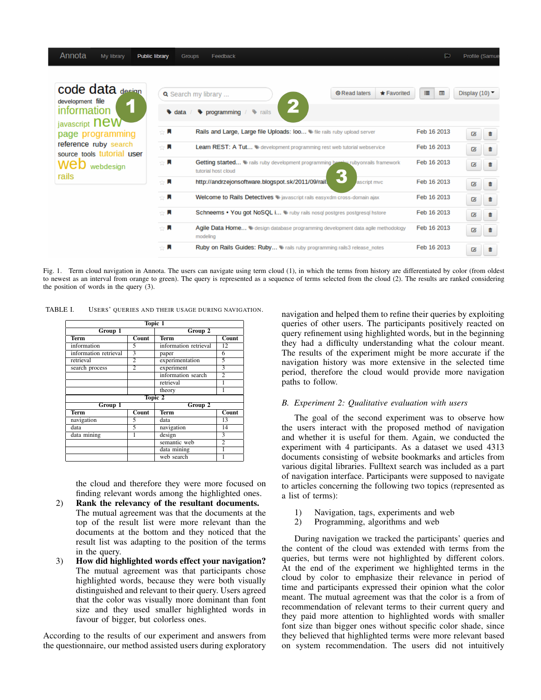| Annota<br>My library                                                                                                                                                          | <b>Public library</b><br>Groups | Feedback                                                                                                          | D           | Profile (Samue |
|-------------------------------------------------------------------------------------------------------------------------------------------------------------------------------|---------------------------------|-------------------------------------------------------------------------------------------------------------------|-------------|----------------|
| COde data design<br>development file<br>information<br>javascript new<br>page programming<br>reference ruby search<br>source tools tutorial user<br>web<br>webdesign<br>rails | $\bullet$ data                  | <b>O</b> Read laters<br>$\bigstar$ Favorited<br><b>Q</b> Search my library<br>2<br>programming<br>$\bullet$ rails | 僵<br>E      | Display $(10)$ |
|                                                                                                                                                                               | $\mathbb{R}^n$ .                | Rails and Large, Large file Uploads: loo We file rails ruby upload server                                         | Feb 16 2013 | Ø<br>û.        |
|                                                                                                                                                                               | 六日                              | <b>Learn REST: A Tut</b> We development programming rest web tutorial webservice                                  | Feb 16 2013 | Ø<br>ū         |
|                                                                                                                                                                               | 六日                              | Getting started We rails ruby development programming bendu rubyonrails framework<br>tutorial host cloud<br>í,    | Feb 16 2013 | Ø<br>m         |
|                                                                                                                                                                               | 六日                              | http://andrzejonsoftware.blogspot.sk/2011/09/rail.<br>ascript mvc                                                 | Feb 16 2013 | Ø<br>ū         |
|                                                                                                                                                                               | 六日                              | Welcome to Rails Detectives We javascript rails easyxdm cross-domain ajax                                         | Feb 16 2013 | Ø<br>ū         |
|                                                                                                                                                                               | $\frac{1}{24}$ .                | <b>Schneems • You got NoSQL i We ruby rails nosgl postgres postgresgl hstore</b>                                  | Feb 16 2013 | Ø<br>ū         |
|                                                                                                                                                                               | the L                           | Agile Data Home We design database programming development data agile methodology<br>modeling                     | Feb 16 2013 | Ø<br>Ū         |
|                                                                                                                                                                               | $\mathbb{R}$                    | Ruby on Rails Guides: Ruby If rails ruby programming rails3 release_notes                                         | Feb 16 2013 | Ø<br>ū         |

Fig. 1. Term cloud navigation in Annota. The users can navigate using term cloud (1), in which the terms from history are differentiated by color (from oldest to newest as an interval from orange to green). The query is represented as a sequence of terms selected from the cloud (2). The results are ranked considering the position of words in the query (3).

TABLE I. USERS' QUERIES AND THEIR USAGE DURING NAVIGATION.

| Topic 1               |                          |                       |                |  |  |  |
|-----------------------|--------------------------|-----------------------|----------------|--|--|--|
| Group 1               |                          | Group 2               |                |  |  |  |
| Term                  | Count                    | Term                  | Count          |  |  |  |
| information           | 5                        | information retrieval | 12             |  |  |  |
| information retrieval | 3                        | paper                 | 6              |  |  |  |
| retrieval             | $\overline{c}$           | experimentation       | 5              |  |  |  |
| search process        | $\overline{\mathcal{L}}$ | 3<br>experiment       |                |  |  |  |
|                       |                          | information search    | $\mathfrak{D}$ |  |  |  |
|                       |                          | retrieval             |                |  |  |  |
|                       |                          | theory                | 1              |  |  |  |
| Topic 2               |                          |                       |                |  |  |  |
| Group 1               |                          | Group 2               |                |  |  |  |
| <b>Term</b>           | Count                    | <b>Term</b>           | Count          |  |  |  |
| navigation            | 5                        | data                  | 13             |  |  |  |
| data                  | 5                        | navigation            | 14             |  |  |  |
| data mining           |                          | design                | 3              |  |  |  |
|                       |                          | semantic web          | $\overline{c}$ |  |  |  |
|                       |                          | data mining           |                |  |  |  |
|                       |                          | web search            |                |  |  |  |

the cloud and therefore they were more focused on finding relevant words among the highlighted ones.

- 2) Rank the relevancy of the resultant documents. The mutual agreement was that the documents at the top of the result list were more relevant than the documents at the bottom and they noticed that the result list was adapting to the position of the terms in the query.
- 3) How did highlighted words effect your navigation? The mutual agreement was that participants chose highlighted words, because they were both visually distinguished and relevant to their query. Users agreed that the color was visually more dominant than font size and they used smaller highlighted words in favour of bigger, but colorless ones.

According to the results of our experiment and answers from the questionnaire, our method assisted users during exploratory navigation and helped them to refine their queries by exploiting queries of other users. The participants positively reacted on query refinement using highlighted words, but in the beginning they had a difficulty understanding what the colour meant. The results of the experiment might be more accurate if the navigation history was more extensive in the selected time period, therefore the cloud would provide more navigation paths to follow.

## *B. Experiment 2: Qualitative evaluation with users*

The goal of the second experiment was to observe how the users interact with the proposed method of navigation and whether it is useful for them. Again, we conducted the experiment with 4 participants. As a dataset we used 4313 documents consisting of website bookmarks and articles from various digital libraries. Fulltext search was included as a part of navigation interface. Participants were supposed to navigate to articles concerning the following two topics (represented as a list of terms):

- 1) Navigation, tags, experiments and web
- 2) Programming, algorithms and web

During navigation we tracked the participants' queries and the content of the cloud was extended with terms from the queries, but terms were not highlighted by different colors. At the end of the experiment we highlighted terms in the cloud by color to emphasize their relevance in period of time and participants expressed their opinion what the color meant. The mutual agreement was that the color is a from of recommendation of relevant terms to their current query and they paid more attention to highlighted words with smaller font size than bigger ones without specific color shade, since they believed that highlighted terms were more relevant based on system recommendation. The users did not intuitively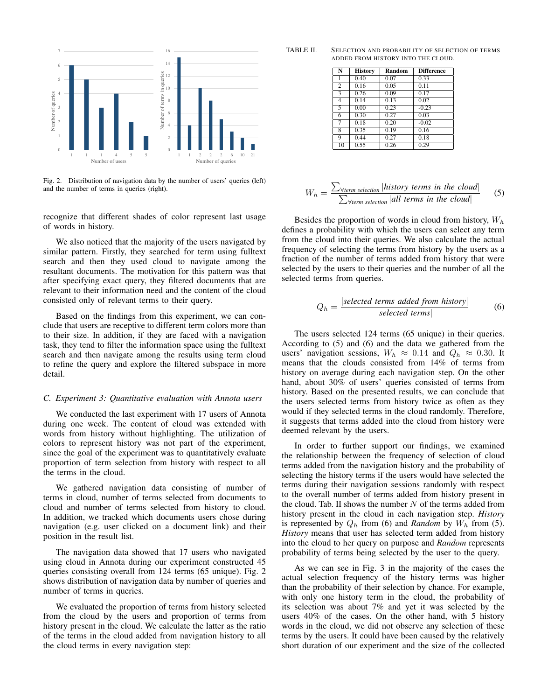

Fig. 2. Distribution of navigation data by the number of users' queries (left) and the number of terms in queries (right).

recognize that different shades of color represent last usage of words in history.

We also noticed that the majority of the users navigated by similar pattern. Firstly, they searched for term using fulltext search and then they used cloud to navigate among the resultant documents. The motivation for this pattern was that after specifying exact query, they filtered documents that are relevant to their information need and the content of the cloud consisted only of relevant terms to their query.

Based on the findings from this experiment, we can conclude that users are receptive to different term colors more than to their size. In addition, if they are faced with a navigation task, they tend to filter the information space using the fulltext search and then navigate among the results using term cloud to refine the query and explore the filtered subspace in more detail.

#### *C. Experiment 3: Quantitative evaluation with Annota users*

We conducted the last experiment with 17 users of Annota during one week. The content of cloud was extended with words from history without highlighting. The utilization of colors to represent history was not part of the experiment, since the goal of the experiment was to quantitatively evaluate proportion of term selection from history with respect to all the terms in the cloud.

We gathered navigation data consisting of number of terms in cloud, number of terms selected from documents to cloud and number of terms selected from history to cloud. In addition, we tracked which documents users chose during navigation (e.g. user clicked on a document link) and their position in the result list.

The navigation data showed that 17 users who navigated using cloud in Annota during our experiment constructed 45 queries consisting overall from 124 terms (65 unique). Fig. 2 shows distribution of navigation data by number of queries and number of terms in queries.

We evaluated the proportion of terms from history selected from the cloud by the users and proportion of terms from history present in the cloud. We calculate the latter as the ratio of the terms in the cloud added from navigation history to all the cloud terms in every navigation step:

TABLE II. SELECTION AND PROBABILITY OF SELECTION OF TERMS ADDED FROM HISTORY INTO THE CLOUD.

| $\overline{\mathbf{N}}$ | <b>History</b> | Random | <b>Difference</b> |
|-------------------------|----------------|--------|-------------------|
| 1                       | 0.40           | 0.07   | 0.33              |
| $\overline{2}$          | 0.16           | 0.05   | 0.11              |
| $\overline{3}$          | 0.26           | 0.09   | 0.17              |
| $\overline{4}$          | 0.14           | 0.13   | 0.02              |
| $\overline{5}$          | 0.00           | 0.23   | $-0.23$           |
| $\overline{6}$          | 0.30           | 0.27   | 0.03              |
| $\overline{7}$          | 0.18           | 0.20   | $-0.02$           |
| 8                       | 0.35           | 0.19   | 0.16              |
| 9                       | 0.44           | 0.27   | 0.18              |
| 10                      | 0.55           | 0.26   | 0.29              |

$$
W_h = \frac{\sum_{\forall term \; selection} |history \; terms \; in \; the \; cloud|}{\sum_{\forall term \; selection} |all \; terms \; in \; the \; cloud|} \tag{5}
$$

Besides the proportion of words in cloud from history,  $W_h$ defines a probability with which the users can select any term from the cloud into their queries. We also calculate the actual frequency of selecting the terms from history by the users as a fraction of the number of terms added from history that were selected by the users to their queries and the number of all the selected terms from queries.

$$
Q_h = \frac{|selected \text{ terms added from history}|}{|selected \text{ terms}|}
$$
 (6)

The users selected 124 terms (65 unique) in their queries. According to (5) and (6) and the data we gathered from the users' navigation sessions,  $W_h \approx 0.14$  and  $Q_h \approx 0.30$ . It means that the clouds consisted from 14% of terms from history on average during each navigation step. On the other hand, about 30% of users' queries consisted of terms from history. Based on the presented results, we can conclude that the users selected terms from history twice as often as they would if they selected terms in the cloud randomly. Therefore, it suggests that terms added into the cloud from history were deemed relevant by the users.

In order to further support our findings, we examined the relationship between the frequency of selection of cloud terms added from the navigation history and the probability of selecting the history terms if the users would have selected the terms during their navigation sessions randomly with respect to the overall number of terms added from history present in the cloud. Tab. II shows the number  $N$  of the terms added from history present in the cloud in each navigation step. *History* is represented by  $Q_h$  from (6) and *Random* by  $W_h$  from (5). *History* means that user has selected term added from history into the cloud to her query on purpose and *Random* represents probability of terms being selected by the user to the query.

As we can see in Fig. 3 in the majority of the cases the actual selection frequency of the history terms was higher than the probability of their selection by chance. For example, with only one history term in the cloud, the probability of its selection was about 7% and yet it was selected by the users 40% of the cases. On the other hand, with 5 history words in the cloud, we did not observe any selection of these terms by the users. It could have been caused by the relatively short duration of our experiment and the size of the collected